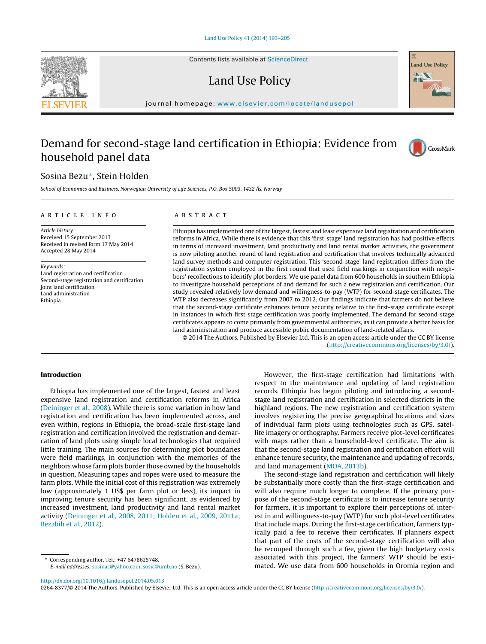Contents lists available at [ScienceDirect](http://www.sciencedirect.com/science/journal/02648377)

# Land Use Policy

iournal homepage: [www.elsevier.com/locate/landusepol](http://www.elsevier.com/locate/landusepol)

# Demand for second-stage land certification in Ethiopia: Evidence from household panel data

# Sosina Bezu∗, Stein Holden

School of Economics and Business, Norwegian University of Life Sciences, P.O. Box 5003, 1432 Ås, Norway

# ARTICLE INFO

Article history: Received 15 September 2013 Received in revised form 17 May 2014 Accepted 28 May 2014

Keywords: Land registration and certification Second-stage registration and certification Joint land certification Land administration Ethiopia

# A B S T R A C T

Ethiopia has implemented one of the largest, fastest and least expensive land registration and certification reforms in Africa. While there is evidence that this 'first-stage' land registration has had positive effects in terms of increased investment, land productivity and land rental market activities, the government is now piloting another round of land registration and certification that involves technically advanced land survey methods and computer registration. This 'second-stage' land registration differs from the registration system employed in the first round that used field markings in conjunction with neighbors' recollections to identify plot borders. We use panel data from 600 households in southern Ethiopia to investigate household perceptions of and demand for such a new registration and certification. Our study revealed relatively low demand and willingness-to-pay (WTP) for second-stage certificates. The WTP also decreases significantly from 2007 to 2012. Our findings indicate that farmers do not believe that the second-stage certificate enhances tenure security relative to the first-stage certificate except in instances in which first-stage certification was poorly implemented. The demand for second-stage certificates appears to come primarily from governmental authorities, as it can provide a better basis for land administration and produce accessible public documentation of land-related affairs.

© 2014 The Authors. Published by Elsevier Ltd. This is an open access article under the CC BY license [\(http://creativecommons.org/licenses/by/3.0/](http://creativecommons.org/licenses/by/3.0/)).

#### **Introduction**

Ethiopia has implemented one of the largest, fastest and least expensive land registration and certification reforms in Africa ([Deininger](#page-12-0) et [al.,](#page-12-0) [2008\).](#page-12-0) While there is some variation in how land registration and certification has been implemented across, and even within, regions in Ethiopia, the broad-scale first-stage land registration and certification involved the registration and demarcation of land plots using simple local technologies that required little training. The main sources for determining plot boundaries were field markings, in conjunction with the memories of the neighbors whose farm plots border those owned by the households in question. Measuring tapes and ropes were used to measure the farm plots. While the initial cost of this registration was extremely low (approximately 1 US\$ per farm plot or less), its impact in improving tenure security has been significant, as evidenced by increased investment, land productivity and land rental market activity [\(Deininger](#page-12-0) et [al.,](#page-12-0) [2008,](#page-12-0) [2011;](#page-12-0) [Holden](#page-12-0) et [al.,](#page-12-0) [2009,](#page-12-0) [2011a;](#page-12-0) [Bezabih](#page-12-0) et [al.,](#page-12-0) [2012\).](#page-12-0)

∗ Corresponding author. Tel.: +47 6478625748. E-mail addresses: [sosinac@yahoo.com](mailto:sosinac@yahoo.com), [sosic@umb.no](mailto:sosic@umb.no) (S. Bezu).

However, the first-stage certification had limitations with respect to the maintenance and updating of land registration records. Ethiopia has begun piloting and introducing a secondstage land registration and certification in selected districts in the highland regions. The new registration and certification system involves registering the precise geographical locations and sizes of individual farm plots using technologies such as GPS, satellite imagery or orthography. Farmers receive plot-level certificates with maps rather than a household-level certificate. The aim is that the second-stage land registration and certification effort will enhance tenure security, the maintenance and updating of records, and land management ([MOA,](#page-12-0) [2013b\).](#page-12-0)

The second-stage land registration and certification will likely be substantially more costly than the first-stage certification and will also require much longer to complete. If the primary purpose of the second-stage certificate is to increase tenure security for farmers, it is important to explore their perceptions of, interest in and willingness-to-pay (WTP) for such plot-level certificates that include maps. During the first-stage certification, farmers typically paid a fee to receive their certificates. If planners expect that part of the costs of the second-stage certification will also be recouped through such a fee, given the high budgetary costs associated with this project, the farmers' WTP should be estimated. We use data from 600 households in Oromia region and

[http://dx.doi.org/10.1016/j.landusepol.2014.05.013](dx.doi.org/10.1016/j.landusepol.2014.05.013)

0264-8377/© 2014 The Authors. Published by Elsevier Ltd. This is an open access article under the CC BY license ([http://creativecommons.org/licenses/by/3.0/\)](http://creativecommons.org/licenses/by/3.0/).





CrossMark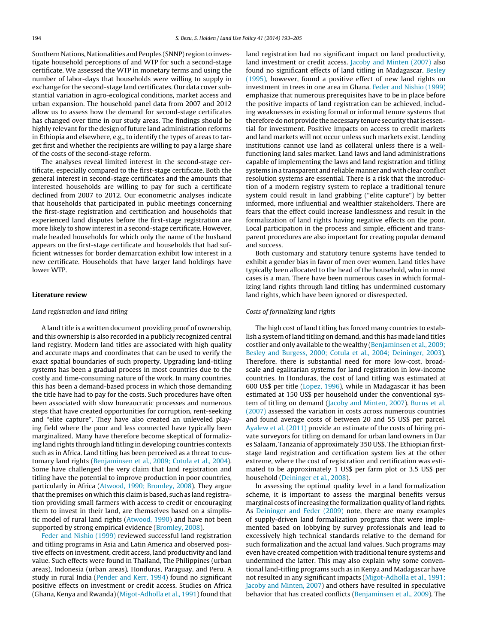Southern Nations, Nationalities and Peoples (SNNP) region to investigate household perceptions of and WTP for such a second-stage certificate. We assessed the WTP in monetary terms and using the number of labor-days that households were willing to supply in exchange for the second-stage land certificates. Our data cover substantial variation in agro-ecological conditions, market access and urban expansion. The household panel data from 2007 and 2012 allow us to assess how the demand for second-stage certificates has changed over time in our study areas. The findings should be highly relevant for the design of future land administration reforms in Ethiopia and elsewhere, e.g., to identify the types of areas to target first and whether the recipients are willing to pay a large share of the costs of the second-stage reform.

The analyses reveal limited interest in the second-stage certificate, especially compared to the first-stage certificate. Both the general interest in second-stage certificates and the amounts that interested households are willing to pay for such a certificate declined from 2007 to 2012. Our econometric analyses indicate that households that participated in public meetings concerning the first-stage registration and certification and households that experienced land disputes before the first-stage registration are more likely to show interest in a second-stage certificate. However, male headed households for which only the name of the husband appears on the first-stage certificate and households that had sufficient witnesses for border demarcation exhibit low interest in a new certificate. Households that have larger land holdings have lower WTP.

#### **Literature review**

## Land registration and land titling

A land title is a written document providing proof of ownership, and this ownership is also recorded in a publicly recognized central land registry. Modern land titles are associated with high quality and accurate maps and coordinates that can be used to verify the exact spatial boundaries of such property. Upgrading land-titling systems has been a gradual process in most countries due to the costly and time-consuming nature of the work. In many countries, this has been a demand-based process in which those demanding the title have had to pay for the costs. Such procedures have often been associated with slow bureaucratic processes and numerous steps that have created opportunities for corruption, rent-seeking and "elite capture". They have also created an unleveled playing field where the poor and less connected have typically been marginalized. Many have therefore become skeptical of formalizing land rights through land titling in developing countries contexts such as in Africa. Land titling has been perceived as a threat to customary land rights [\(Benjaminsen](#page-12-0) et [al.,](#page-12-0) [2009;](#page-12-0) [Cotula](#page-12-0) et [al.,](#page-12-0) [2004\).](#page-12-0) Some have challenged the very claim that land registration and titling have the potential to improve production in poor countries, particularly in Africa [\(Atwood,](#page-12-0) [1990;](#page-12-0) [Bromley,](#page-12-0) [2008\).](#page-12-0) They argue that the premises on which this claim is based, such as land registration providing small farmers with access to credit or encouraging them to invest in their land, are themselves based on a simplistic model of rural land rights [\(Atwood,](#page-12-0) [1990\)](#page-12-0) and have not been supported by strong empirical evidence [\(Bromley,](#page-12-0) [2008\).](#page-12-0)

[Feder](#page-12-0) [and](#page-12-0) [Nishio](#page-12-0) [\(1999\)](#page-12-0) reviewed successful land registration and titling programs in Asia and Latin America and observed positive effects on investment, credit access, land productivity and land value. Such effects were found in Thailand, The Philippines (urban areas), Indonesia (urban areas), Honduras, Paraguay, and Peru. A study in rural India ([Pender](#page-12-0) [and](#page-12-0) [Kerr,](#page-12-0) [1994\)](#page-12-0) found no significant positive effects on investment or credit access. Studies on Africa (Ghana, Kenya and Rwanda) [\(Migot-Adholla](#page-12-0) et [al.,](#page-12-0) [1991\)](#page-12-0) found that

land registration had no significant impact on land productivity, land investment or credit access. [Jacoby](#page-12-0) [and](#page-12-0) [Minten](#page-12-0) [\(2007\)](#page-12-0) also found no significant effects of land titling in Madagascar. [Besley](#page-12-0) [\(1995\),](#page-12-0) however, found a positive effect of new land rights on investment in trees in one area in Ghana. [Feder](#page-12-0) [and](#page-12-0) [Nishio](#page-12-0) [\(1999\)](#page-12-0) emphasize that numerous prerequisites have to be in place before the positive impacts of land registration can be achieved, including weaknesses in existing formal or informal tenure systems that therefore do not provide the necessary tenure security that is essential for investment. Positive impacts on access to credit markets and land markets will not occur unless such markets exist. Lending institutions cannot use land as collateral unless there is a wellfunctioning land sales market. Land laws and land administrations capable of implementing the laws and land registration and titling systems in a transparent and reliable manner and with clear conflict resolution systems are essential. There is a risk that the introduction of a modern registry system to replace a traditional tenure system could result in land grabbing ("elite capture") by better informed, more influential and wealthier stakeholders. There are fears that the effect could increase landlessness and result in the formalization of land rights having negative effects on the poor. Local participation in the process and simple, efficient and transparent procedures are also important for creating popular demand and success.

Both customary and statutory tenure systems have tended to exhibit a gender bias in favor of men over women. Land titles have typically been allocated to the head of the household, who in most cases is a man. There have been numerous cases in which formalizing land rights through land titling has undermined customary land rights, which have been ignored or disrespected.

#### Costs of formalizing land rights

The high cost of land titling has forced many countries to establish a system ofland titling on demand, and this has made land titles costlier and only available to the wealthy ([Benjaminsen](#page-12-0) et [al.,](#page-12-0) [2009;](#page-12-0) [Besley](#page-12-0) [and](#page-12-0) [Burgess,](#page-12-0) [2000;](#page-12-0) [Cotula](#page-12-0) et [al.,](#page-12-0) [2004;](#page-12-0) [Deininger,](#page-12-0) [2003\).](#page-12-0) Therefore, there is substantial need for more low-cost, broadscale and egalitarian systems for land registration in low-income countries. In Honduras, the cost of land titling was estimated at 600 US\$ per title [\(Lopez,](#page-12-0) [1996\),](#page-12-0) while in Madagascar it has been estimated at 150 US\$ per household under the conventional system of titling on demand [\(Jacoby](#page-12-0) [and](#page-12-0) [Minten,](#page-12-0) [2007\).](#page-12-0) [Burns](#page-12-0) et [al.](#page-12-0) [\(2007\)](#page-12-0) assessed the variation in costs across numerous countries and found average costs of between 20 and 55 US\$ per parcel. [Ayalew](#page-12-0) et [al.](#page-12-0) [\(2011\)](#page-12-0) provide an estimate of the costs of hiring private surveyors for titling on demand for urban land owners in Dar es Salaam, Tanzania of approximately 350 US\$. The Ethiopian firststage land registration and certification system lies at the other extreme, where the cost of registration and certification was estimated to be approximately 1 US\$ per farm plot or 3.5 US\$ per household [\(Deininger](#page-12-0) et [al.,](#page-12-0) [2008\).](#page-12-0)

In assessing the optimal quality level in a land formalization scheme, it is important to assess the marginal benefits versus marginal costs of increasing the formalization quality of land rights. As [Deininger](#page-12-0) [and](#page-12-0) [Feder](#page-12-0) [\(2009\)](#page-12-0) note, there are many examples of supply-driven land formalization programs that were implemented based on lobbying by survey professionals and lead to excessively high technical standards relative to the demand for such formalization and the actual land values. Such programs may even have created competition with traditional tenure systems and undermined the latter. This may also explain why some conventional land-titling programs such as in Kenya and Madagascar have not resulted in any significant impacts ([Migot-Adholla](#page-12-0) et [al.,](#page-12-0) [1991;](#page-12-0) [Jacoby](#page-12-0) [and](#page-12-0) [Minten,](#page-12-0) [2007\)](#page-12-0) and others have resulted in speculative behavior that has created conflicts [\(Benjaminsen](#page-12-0) et [al.,](#page-12-0) [2009\).](#page-12-0) The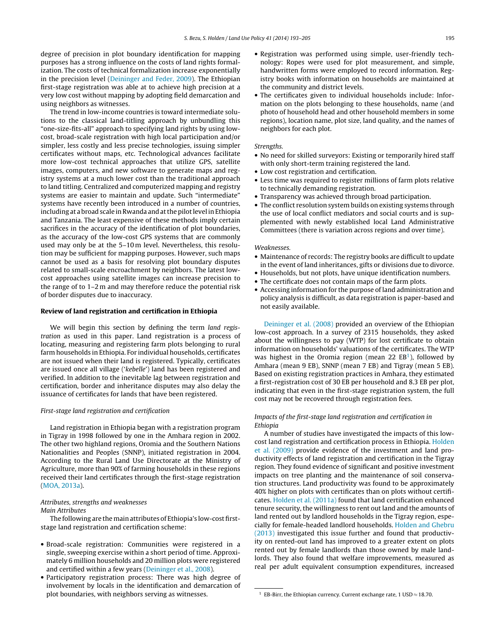degree of precision in plot boundary identification for mapping purposes has a strong influence on the costs of land rights formalization. The costs of technical formalization increase exponentially in the precision level [\(Deininger](#page-12-0) [and](#page-12-0) [Feder,](#page-12-0) [2009\).](#page-12-0) The Ethiopian first-stage registration was able at to achieve high precision at a very low cost without mapping by adopting field demarcation and using neighbors as witnesses.

The trend in low-income countries is toward intermediate solutions to the classical land-titling approach by unbundling this "one-size-fits-all" approach to specifying land rights by using lowcost, broad-scale registration with high local participation and/or simpler, less costly and less precise technologies, issuing simpler certificates without maps, etc. Technological advances facilitate more low-cost technical approaches that utilize GPS, satellite images, computers, and new software to generate maps and registry systems at a much lower cost than the traditional approach to land titling. Centralized and computerized mapping and registry systems are easier to maintain and update. Such "intermediate" systems have recently been introduced in a number of countries, including at a broad scale in Rwanda and at the pilot level in Ethiopia and Tanzania. The least expensive of these methods imply certain sacrifices in the accuracy of the identification of plot boundaries, as the accuracy of the low-cost GPS systems that are commonly used may only be at the 5–10 m level. Nevertheless, this resolution may be sufficient for mapping purposes. However, such maps cannot be used as a basis for resolving plot boundary disputes related to small-scale encroachment by neighbors. The latest lowcost approaches using satellite images can increase precision to the range of to 1–2 m and may therefore reduce the potential risk of border disputes due to inaccuracy.

## **Review of land registration and certification in Ethiopia**

We will begin this section by defining the term land registration as used in this paper. Land registration is a process of locating, measuring and registering farm plots belonging to rural farm households in Ethiopia. For individual households, certificates are not issued when their land is registered. Typically, certificates are issued once all village ('kebelle') land has been registered and verified. In addition to the inevitable lag between registration and certification, border and inheritance disputes may also delay the issuance of certificates for lands that have been registered.

#### First-stage land registration and certification

Land registration in Ethiopia began with a registration program in Tigray in 1998 followed by one in the Amhara region in 2002. The other two highland regions, Oromia and the Southern Nations Nationalities and Peoples (SNNP), initiated registration in 2004. According to the Rural Land Use Directorate at the Ministry of Agriculture, more than 90% of farming households in these regions received their land certificates through the first-stage registration ([MOA,](#page-12-0) [2013a\).](#page-12-0)

### Attributes, strengths and weaknesses Main Attributes

The following are the main attributes of Ethiopia's low-cost firststage land registration and certification scheme:

- Broad-scale registration: Communities were registered in a single, sweeping exercise within a short period of time. Approximately 6 million households and 20 million plots were registered and certified within a few years ([Deininger](#page-12-0) et [al.,](#page-12-0) [2008\).](#page-12-0)
- Participatory registration process: There was high degree of involvement by locals in the identification and demarcation of plot boundaries, with neighbors serving as witnesses.
- Registration was performed using simple, user-friendly technology: Ropes were used for plot measurement, and simple, handwritten forms were employed to record information. Registry books with information on households are maintained at the community and district levels.
- The certificates given to individual households include: Information on the plots belonging to these households, name (and photo of household head and other household members in some regions), location name, plot size, land quality, and the names of neighbors for each plot.

# Strengths.

- No need for skilled surveyors: Existing or temporarily hired staff with only short-term training registered the land.
- Low cost registration and certification.
- Less time was required to register millions of farm plots relative to technically demanding registration.
- Transparency was achieved through broad participation.
- The conflict resolution system builds on existing systems through the use of local conflict mediators and social courts and is supplemented with newly established local Land Administrative Committees (there is variation across regions and over time).

## Weaknesses.

- Maintenance of records: The registry books are difficult to update in the event of land inheritances, gifts or divisions due to divorce.
- Households, but not plots, have unique identification numbers.
- The certificate does not contain maps of the farm plots.
- Accessing information for the purpose of land administration and policy analysis is difficult, as data registration is paper-based and not easily available.

[Deininger](#page-12-0) et [al.](#page-12-0) [\(2008\)](#page-12-0) provided an overview of the Ethiopian low-cost approach. In a survey of 2315 households, they asked about the willingness to pay (WTP) for lost certificate to obtain information on households' valuations of the certificates. The WTP was highest in the Oromia region (mean 22  $EB<sup>1</sup>$ ), followed by Amhara (mean 9 EB), SNNP (mean 7 EB) and Tigray (mean 5 EB). Based on existing registration practices in Amhara, they estimated a first-registration cost of 30 EB per household and 8.3 EB per plot, indicating that even in the first-stage registration system, the full cost may not be recovered through registration fees.

# Impacts of the first-stage land registration and certification in Ethiopia

A number of studies have investigated the impacts of this lowcost land registration and certification process in Ethiopia. [Holden](#page-12-0) et [al.](#page-12-0) [\(2009\)](#page-12-0) provide evidence of the investment and land productivity effects of land registration and certification in the Tigray region. They found evidence of significant and positive investment impacts on tree planting and the maintenance of soil conservation structures. Land productivity was found to be approximately 40% higher on plots with certificates than on plots without certificates. [Holden](#page-12-0) et [al.](#page-12-0) [\(2011a\)](#page-12-0) found that land certification enhanced tenure security, the willingness to rent out land and the amounts of land rented out by landlord households in the Tigray region, especially for female-headed landlord households. [Holden](#page-12-0) [and](#page-12-0) [Ghebru](#page-12-0) [\(2013\)](#page-12-0) investigated this issue further and found that productivity on rented-out land has improved to a greater extent on plots rented out by female landlords than those owned by male landlords. They also found that welfare improvements, measured as real per adult equivalent consumption expenditures, increased

<sup>&</sup>lt;sup>1</sup> EB-Birr, the Ethiopian currency. Current exchange rate, 1 USD  $\approx$  18.70.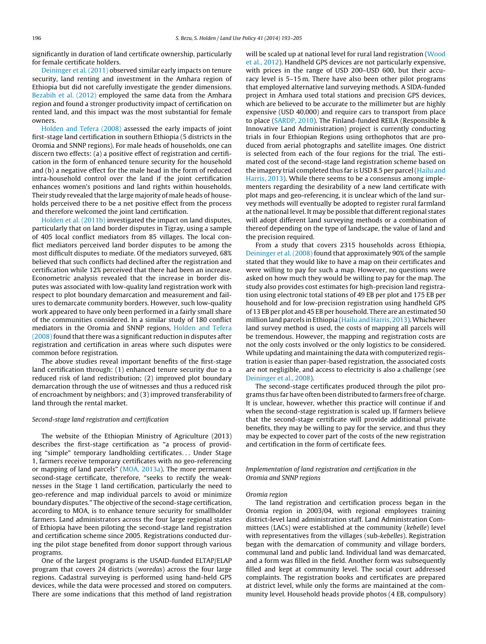significantly in duration of land certificate ownership, particularly for female certificate holders.

[Deininger](#page-12-0) et [al.](#page-12-0) [\(2011\)](#page-12-0) observed similar early impacts on tenure security, land renting and investment in the Amhara region of Ethiopia but did not carefully investigate the gender dimensions. [Bezabih](#page-12-0) et [al.](#page-12-0) [\(2012\)](#page-12-0) employed the same data from the Amhara region and found a stronger productivity impact of certification on rented land, and this impact was the most substantial for female owners.

[Holden](#page-12-0) [and](#page-12-0) [Tefera](#page-12-0) [\(2008\)](#page-12-0) assessed the early impacts of joint first-stage land certification in southern Ethiopia (5 districts in the Oromia and SNNP regions). For male heads of households, one can discern two effects: (a) a positive effect of registration and certification in the form of enhanced tenure security for the household and (b) a negative effect for the male head in the form of reduced intra-household control over the land if the joint certification enhances women's positions and land rights within households. Their study revealed that the large majority of male heads of households perceived there to be a net positive effect from the process and therefore welcomed the joint land certification.

[Holden](#page-12-0) et [al.](#page-12-0) [\(2011b\)](#page-12-0) investigated the impact on land disputes, particularly that on land border disputes in Tigray, using a sample of 405 local conflict mediators from 85 villages. The local conflict mediators perceived land border disputes to be among the most difficult disputes to mediate. Of the mediators surveyed, 68% believed that such conflicts had declined after the registration and certification while 12% perceived that there had been an increase. Econometric analysis revealed that the increase in border disputes was associated with low-quality land registration work with respect to plot boundary demarcation and measurement and failures to demarcate community borders. However, such low-quality work appeared to have only been performed in a fairly small share of the communities considered. In a similar study of 180 conflict mediators in the Oromia and SNNP regions, [Holden](#page-12-0) [and](#page-12-0) [Tefera](#page-12-0)  $(2008)$  found that there was a significant reduction in disputes after registration and certification in areas where such disputes were common before registration.

The above studies reveal important benefits of the first-stage land certification through: (1) enhanced tenure security due to a reduced risk of land redistribution; (2) improved plot boundary demarcation through the use of witnesses and thus a reduced risk of encroachment by neighbors; and (3) improved transferability of land through the rental market.

#### Second-stage land registration and certification

The website of the Ethiopian Ministry of Agriculture (2013) describes the first-stage certification as "a process of providing "simple" temporary landholding certificates. . . Under Stage 1, farmers receive temporary certificates with no geo-referencing or mapping of land parcels" [\(MOA,](#page-12-0) [2013a\).](#page-12-0) The more permanent second-stage certificate, therefore, "seeks to rectify the weaknesses in the Stage 1 land certification, particularly the need to geo-reference and map individual parcels to avoid or minimize boundary disputes." The objective of the second-stage certification, according to MOA, is to enhance tenure security for smallholder farmers. Land administrators across the four large regional states of Ethiopia have been piloting the second-stage land registration and certification scheme since 2005. Registrations conducted during the pilot stage benefited from donor support through various programs.

One of the largest programs is the USAID-funded ELTAP/ELAP program that covers 24 districts (woredas) across the four large regions. Cadastral surveying is performed using hand-held GPS devices, while the data were processed and stored on computers. There are some indications that this method of land registration will be scaled up at national level for rural land registration ([Wood](#page-12-0) et [al.,](#page-12-0) [2012\).](#page-12-0) Handheld GPS devices are not particularly expensive, with prices in the range of USD 200–USD 600, but their accuracy level is 5–15 m. There have also been other pilot programs that employed alternative land surveying methods. A SIDA-funded project in Amhara used total stations and precision GPS devices, which are believed to be accurate to the millimeter but are highly expensive (USD 40,000) and require cars to transport from place to place [\(SARDP,](#page-12-0) [2010\).](#page-12-0) The Finland-funded REILA (Responsible & Innovative Land Administration) project is currently conducting trials in four Ethiopian Regions using orthophotos that are produced from aerial photographs and satellite images. One district is selected from each of the four regions for the trial. The estimated cost of the second-stage land registration scheme based on the imagery trial completed thus far is USD 8.5 per parcel([Hailu](#page-12-0) [and](#page-12-0) [Harris,](#page-12-0) [2013\).](#page-12-0) While there seems to be a consensus among implementers regarding the desirability of a new land certificate with plot maps and geo-referencing, it is unclear which of the land survey methods will eventually be adopted to register rural farmland atthe national level. It may be possible that different regional states will adopt different land surveying methods or a combination of thereof depending on the type of landscape, the value of land and the precision required.

From a study that covers 2315 households across Ethiopia, [Deininger](#page-12-0) et [al.](#page-12-0) [\(2008\)](#page-12-0) found that approximately 90% of the sample stated that they would like to have a map on their certificates and were willing to pay for such a map. However, no questions were asked on how much they would be willing to pay for the map. The study also provides cost estimates for high-precision land registration using electronic total stations of 49 EB per plot and 175 EB per household and for low-precision registration using handheld GPS of 13 EB per plot and 45 EB per household. There are an estimated 50 million land parcels in Ethiopia ([Hailu](#page-12-0) [and](#page-12-0) [Harris,](#page-12-0) [2013\).](#page-12-0)Whichever land survey method is used, the costs of mapping all parcels will be tremendous. However, the mapping and registration costs are not the only costs involved or the only logistics to be considered. While updating and maintaining the data with computerized registration is easier than paper-based registration, the associated costs are not negligible, and access to electricity is also a challenge (see [Deininger](#page-12-0) et [al.,](#page-12-0) [2008\).](#page-12-0)

The second-stage certificates produced through the pilot programs thus far have often been distributed to farmers free of charge. It is unclear, however, whether this practice will continue if and when the second-stage registration is scaled up. If farmers believe that the second-stage certificate will provide additional private benefits, they may be willing to pay for the service, and thus they may be expected to cover part of the costs of the new registration and certification in the form of certificate fees.

# Implementation of land registration and certification in the Oromia and SNNP regions

# Oromia region

The land registration and certification process began in the Oromia region in 2003/04, with regional employees training district-level land administration staff. Land Administration Committees (LACs) were established at the community (kebelle) level with representatives from the villages (sub-kebelles). Registration began with the demarcation of community and village borders, communal land and public land. Individual land was demarcated, and a form was filled in the field. Another form was subsequently filled and kept at community level. The social court addressed complaints. The registration books and certificates are prepared at district level, while only the forms are maintained at the community level. Household heads provide photos (4 EB, compulsory)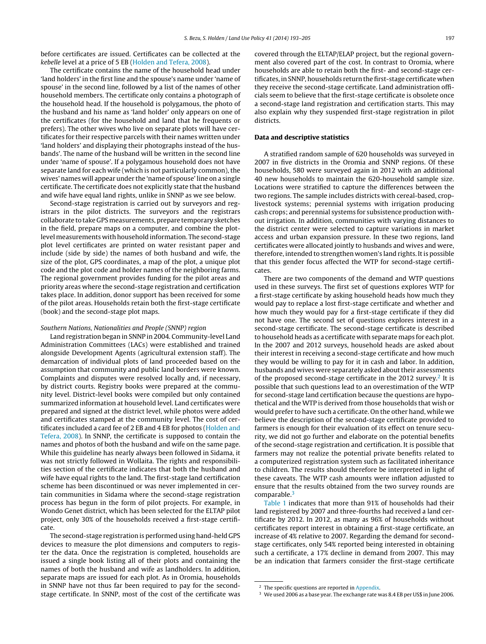before certificates are issued. Certificates can be collected at the kebelle level at a price of 5 EB ([Holden](#page-12-0) [and](#page-12-0) [Tefera,](#page-12-0) [2008\).](#page-12-0)

The certificate contains the name of the household head under 'land holders' in the first line and the spouse's name under 'name of spouse' in the second line, followed by a list of the names of other household members. The certificate only contains a photograph of the household head. If the household is polygamous, the photo of the husband and his name as 'land holder' only appears on one of the certificates (for the household and land that he frequents or prefers). The other wives who live on separate plots will have certificates for their respective parcels with their names written under 'land holders' and displaying their photographs instead of the husbands'. The name of the husband will be written in the second line under 'name of spouse'. If a polygamous household does not have separate land for each wife (which is not particularly common), the wives' names will appear under the 'name of spouse' line on a single certificate. The certificate does not explicitly state that the husband and wife have equal land rights, unlike in SNNP as we see below.

Second-stage registration is carried out by surveyors and registrars in the pilot districts. The surveyors and the registrars collaborate to take GPS measurements, prepare temporary sketches in the field, prepare maps on a computer, and combine the plotlevel measurements with household information. The second-stage plot level certificates are printed on water resistant paper and include (side by side) the names of both husband and wife, the size of the plot, GPS coordinates, a map of the plot, a unique plot code and the plot code and holder names of the neighboring farms. The regional government provides funding for the pilot areas and priority areas where the second-stage registration and certification takes place. In addition, donor support has been received for some of the pilot areas. Households retain both the first-stage certificate (book) and the second-stage plot maps.

#### Southern Nations, Nationalities and People (SNNP) region

Land registration began in SNNP in 2004. Community-level Land Administration Committees (LACs) were established and trained alongside Development Agents (agricultural extension staff). The demarcation of individual plots of land proceeded based on the assumption that community and public land borders were known. Complaints and disputes were resolved locally and, if necessary, by district courts. Registry books were prepared at the community level. District-level books were compiled but only contained summarized information at household level. Land certificates were prepared and signed at the district level, while photos were added and certificates stamped at the community level. The cost of certificates included a card fee of 2 EB and 4 EB for photos ([Holden](#page-12-0) [and](#page-12-0) [Tefera,](#page-12-0) [2008\).](#page-12-0) In SNNP, the certificate is supposed to contain the names and photos of both the husband and wife on the same page. While this guideline has nearly always been followed in Sidama, it was not strictly followed in Wollaita. The rights and responsibilities section of the certificate indicates that both the husband and wife have equal rights to the land. The first-stage land certification scheme has been discontinued or was never implemented in certain communities in Sidama where the second-stage registration process has begun in the form of pilot projects. For example, in Wondo Genet district, which has been selected for the ELTAP pilot project, only 30% of the households received a first-stage certificate.

The second-stage registration is performed using hand-held GPS devices to measure the plot dimensions and computers to register the data. Once the registration is completed, households are issued a single book listing all of their plots and containing the names of both the husband and wife as landholders. In addition, separate maps are issued for each plot. As in Oromia, households in SNNP have not thus far been required to pay for the secondstage certificate. In SNNP, most of the cost of the certificate was covered through the ELTAP/ELAP project, but the regional government also covered part of the cost. In contrast to Oromia, where households are able to retain both the first- and second-stage certificates, in SNNP, households return the first-stage certificate when they receive the second-stage certificate. Land administration officials seem to believe that the first-stage certificate is obsolete once a second-stage land registration and certification starts. This may also explain why they suspended first-stage registration in pilot districts.

#### **Data and descriptive statistics**

A stratified random sample of 620 households was surveyed in 2007 in five districts in the Oromia and SNNP regions. Of these households, 580 were surveyed again in 2012 with an additional 40 new households to maintain the 620-household sample size. Locations were stratified to capture the differences between the two regions. The sample includes districts with cereal-based, croplivestock systems; perennial systems with irrigation producing cash crops; and perennial systems for subsistence production without irrigation. In addition, communities with varying distances to the district center were selected to capture variations in market access and urban expansion pressure. In these two regions, land certificates were allocated jointly to husbands and wives and were, therefore, intended to strengthen women's land rights. Itis possible that this gender focus affected the WTP for second-stage certificates.

There are two components of the demand and WTP questions used in these surveys. The first set of questions explores WTP for a first-stage certificate by asking household heads how much they would pay to replace a lost first-stage certificate and whether and how much they would pay for a first-stage certificate if they did not have one. The second set of questions explores interest in a second-stage certificate. The second-stage certificate is described to household heads as a certificate with separate maps for each plot. In the 2007 and 2012 surveys, household heads are asked about their interest in receiving a second-stage certificate and how much they would be willing to pay for it in cash and labor. In addition, husbands and wives were separately asked about their assessments of the proposed second-stage certificate in the 2012 survey.<sup>2</sup> It is possible that such questions lead to an overestimation of the WTP for second-stage land certification because the questions are hypothetical and the WTP is derived from those households that wish or would prefer to have such a certificate. On the other hand, while we believe the description of the second-stage certificate provided to farmers is enough for their evaluation of its effect on tenure security, we did not go further and elaborate on the potential benefits of the second-stage registration and certification. It is possible that farmers may not realize the potential private benefits related to a computerized registration system such as facilitated inheritance to children. The results should therefore be interpreted in light of these caveats. The WTP cash amounts were inflation adjusted to ensure that the results obtained from the two survey rounds are comparable.<sup>3</sup>

[Table](#page-5-0) 1 indicates that more than 91% of households had their land registered by 2007 and three-fourths had received a land certificate by 2012. In 2012, as many as 96% of households without certificates report interest in obtaining a first-stage certificate, an increase of 4% relative to 2007. Regarding the demand for secondstage certificates, only 54% reported being interested in obtaining such a certificate, a 17% decline in demand from 2007. This may be an indication that farmers consider the first-stage certificate

<sup>2</sup> The specific questions are reported in [Appendix.](#page-11-0)

<sup>3</sup> We used 2006 as a base year. The exchange rate was 8.4 EB per US\$ in June 2006.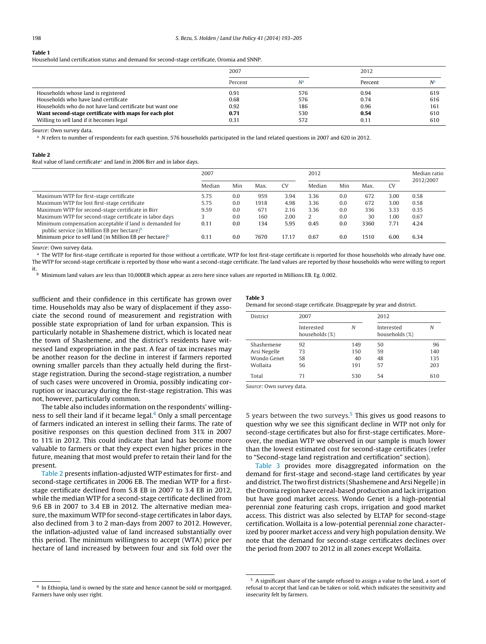<span id="page-5-0"></span>Household land certification status and demand for second-stage certificate, Oromia and SNNP.

|                                                          | 2007    |                | 2012    |       |
|----------------------------------------------------------|---------|----------------|---------|-------|
|                                                          | Percent | N <sup>a</sup> | Percent | $N^a$ |
| Households whose land is registered                      | 0.91    | 576            | 0.94    | 619   |
| Households who have land certificate                     | 0.68    | 576            | 0.74    | 616   |
| Households who do not have land certificate but want one | 0.92    | 186            | 0.96    | 161   |
| Want second-stage certificate with maps for each plot    | 0.71    | 530            | 0.54    | 610   |
| Willing to sell land if it becomes legal                 | 0.31    | 572            | 0.11    | 610   |

Source: Own survey data.

<sup>a</sup> N refers to number of respondents for each question. 576 households participated in the land related questions in 2007 and 620 in 2012.

#### **Table 2**

Real value of land certificate<sup>a</sup> and land in 2006 Birr and in labor days.

|                                                                                                                    | 2007   |     |      |       | 2012   |     |      |      | Median ratio<br>2012/2007 |
|--------------------------------------------------------------------------------------------------------------------|--------|-----|------|-------|--------|-----|------|------|---------------------------|
|                                                                                                                    | Median | Min | Max. | CV    | Median | Min | Max. | CV   |                           |
| Maximum WTP for first-stage certificate                                                                            | 5.75   | 0.0 | 959  | 3.94  | 3.36   | 0.0 | 672  | 3.00 | 0.58                      |
| Maximum WTP for lost first-stage certificate                                                                       | 5.75   | 0.0 | 1918 | 4.98  | 3.36   | 0.0 | 672  | 3.00 | 0.58                      |
| Maximum WTP for second-stage certificate in Birr                                                                   | 9.59   | 0.0 | 671  | 2.16  | 3.36   | 0.0 | 336  | 3.33 | 0.35                      |
| Maximum WTP for second-stage certificate in labor days                                                             |        | 0.0 | 160  | 2.00  | 2      | 0.0 | 30   | 1.00 | 0.67                      |
| Minimum compensation acceptable if land is demanded for<br>public service (in Million EB per hectare) <sup>b</sup> | 0.11   | 0.0 | 134  | 5.95  | 0.45   | 0.0 | 3360 | 7.71 | 4.24                      |
| Minimum price to sell land (in Million EB per hectare) $\mathbf{b}$                                                | 0.11   | 0.0 | 7670 | 17.17 | 0.67   | 0.0 | 1510 | 6.00 | 6.34                      |

Source: Own survey data.

<sup>a</sup> The WTP for first-stage certificate is reported for those without a certificate, WTP for lost first-stage certificate is reported for those households who already have one. The WTP for second-stage certificate is reported by those who want a second-stage certificate. The land values are reported by those households who were willing to report it.

 $\overline{\phantom{a}}^{\rm b}$  Minimum land values are less than 10,000EB which appear as zero here since values are reported in Millions EB. Eg. 0.002.

sufficient and their confidence in this certificate has grown over time. Households may also be wary of displacement if they associate the second round of measurement and registration with possible state expropriation of land for urban expansion. This is particularly notable in Shashemene district, which is located near the town of Shashemene, and the district's residents have witnessed land expropriation in the past. A fear of tax increases may be another reason for the decline in interest if farmers reported owning smaller parcels than they actually held during the firststage registration. During the second-stage registration, a number of such cases were uncovered in Oromia, possibly indicating corruption or inaccuracy during the first-stage registration. This was not, however, particularly common.

The table also includes information on the respondents' willingness to sell their land if it became legal. $4$  Only a small percentage of farmers indicated an interest in selling their farms. The rate of positive responses on this question declined from 31% in 2007 to 11% in 2012. This could indicate that land has become more valuable to farmers or that they expect even higher prices in the future, meaning that most would prefer to retain their land for the present.

Table 2 presents inflation-adjusted WTP estimates for first- and second-stage certificates in 2006 EB. The median WTP for a firststage certificate declined from 5.8 EB in 2007 to 3.4 EB in 2012, while the median WTP for a second-stage certificate declined from 9.6 EB in 2007 to 3.4 EB in 2012. The alternative median measure, the maximum WTP for second-stage certificates in labor days, also declined from 3 to 2 man-days from 2007 to 2012. However, the inflation-adjusted value of land increased substantially over this period. The minimum willingness to accept (WTA) price per hectare of land increased by between four and six fold over the

#### **Table 3**

Demand for second-stage certificate. Disaggregate by year and district.

| <b>District</b> | 2007                         |     | 2012                         |     |  |  |  |
|-----------------|------------------------------|-----|------------------------------|-----|--|--|--|
|                 | Interested<br>households (%) | N   | Interested<br>households (%) | N   |  |  |  |
| Shashemene      | 92                           | 149 | 50                           | 96  |  |  |  |
| Arsi Negelle    | 73                           | 150 | 59                           | 140 |  |  |  |
| Wondo Genet     | 58                           | 40  | 48                           | 135 |  |  |  |
| Wollaita        | 56                           | 191 | 57                           | 203 |  |  |  |
| Total           | 71                           | 530 | 54                           | 610 |  |  |  |

Source: Own survey data.

5 years between the two surveys.<sup>5</sup> This gives us good reasons to question why we see this significant decline in WTP not only for second-stage certificates but also for first-stage certificates. Moreover, the median WTP we observed in our sample is much lower than the lowest estimated cost for second-stage certificates (refer to "Second-stage land registration and certification" section).

Table 3 provides more disaggregated information on the demand for first-stage and second-stage land certificates by year and district. The two first districts (Shashemene and Arsi Negelle) in the Oromia region have cereal-based production and lack irrigation but have good market access. Wondo Genet is a high-potential perennial zone featuring cash crops, irrigation and good market access. This district was also selected by ELTAP for second-stage certification. Wollaita is a low-potential perennial zone characterized by poorer market access and very high population density. We note that the demand for second-stage certificates declines over the period from 2007 to 2012 in all zones except Wollaita.

<sup>4</sup> In Ethiopia, land is owned by the state and hence cannot be sold or mortgaged. Farmers have only user right.

<sup>5</sup> A significant share of the sample refused to assign a value to the land, a sort of refusal to accept that land can be taken or sold, which indicates the sensitivity and insecurity felt by farmers.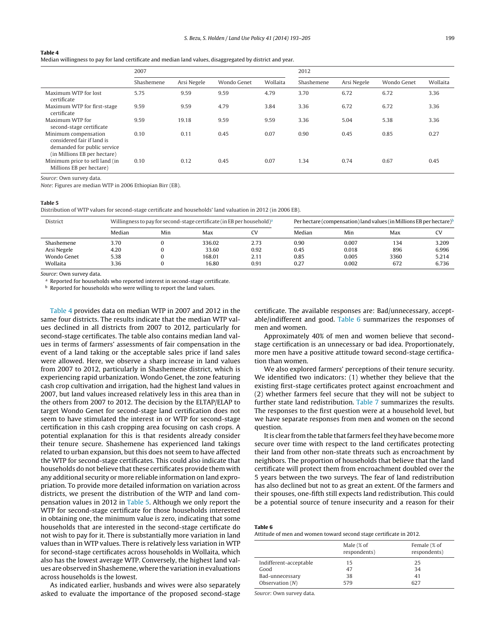<span id="page-6-0"></span>Median willingness to pay for land certificate and median land values, disaggregated by district and year.

|                                                                                                                   | 2007       |             |             |          | 2012       |             |             |          |
|-------------------------------------------------------------------------------------------------------------------|------------|-------------|-------------|----------|------------|-------------|-------------|----------|
|                                                                                                                   | Shashemene | Arsi Negele | Wondo Genet | Wollaita | Shashemene | Arsi Negele | Wondo Genet | Wollaita |
| Maximum WTP for lost<br>certificate                                                                               | 5.75       | 9.59        | 9.59        | 4.79     | 3.70       | 6.72        | 6.72        | 3.36     |
| Maximum WTP for first-stage<br>certificate                                                                        | 9.59       | 9.59        | 4.79        | 3.84     | 3.36       | 6.72        | 6.72        | 3.36     |
| Maximum WTP for<br>second-stage certificate                                                                       | 9.59       | 19.18       | 9.59        | 9.59     | 3.36       | 5.04        | 5.38        | 3.36     |
| Minimum compensation<br>considered fair if land is<br>demanded for public service<br>(in Millions EB per hectare) | 0.10       | 0.11        | 0.45        | 0.07     | 0.90       | 0.45        | 0.85        | 0.27     |
| Minimum price to sell land (in<br>Millions EB per hectare)                                                        | 0.10       | 0.12        | 0.45        | 0.07     | 1.34       | 0.74        | 0.67        | 0.45     |

Source: Own survey data.

Note: Figures are median WTP in 2006 Ethiopian Birr (EB).

#### **Table 5**

Distribution of WTP values for second-stage certificate and households' land valuation in 2012 (in 2006 EB).

| District    |                      |  | Willingness to pay for second-stage certificate (in EB per household) <sup>a</sup> |        | Per hectare (compensation) land values (in Millions EB per hectare) <sup>b</sup> |       |      |       |
|-------------|----------------------|--|------------------------------------------------------------------------------------|--------|----------------------------------------------------------------------------------|-------|------|-------|
|             | Median<br>Min<br>Max |  |                                                                                    | Median | Min                                                                              | Max   | CV   |       |
| Shashemene  | 3.70                 |  | 336.02                                                                             | 2.73   | 0.90                                                                             | 0.007 | 134  | 3.209 |
| Arsi Negele | 4.20                 |  | 33.60                                                                              | 0.92   | 0.45                                                                             | 0.018 | 896  | 6.996 |
| Wondo Genet | 5.38                 |  | 168.01                                                                             | 2.11   | 0.85                                                                             | 0.005 | 3360 | 5.214 |
| Wollaita    | 3.36                 |  | 16.80                                                                              | 0.91   | 0.27                                                                             | 0.002 | 672  | 6.736 |

Source: Own survey data.

<sup>a</sup> Reported for households who reported interest in second-stage certificate.

**b** Reported for households who were willing to report the land values.

Table 4 provides data on median WTP in 2007 and 2012 in the same four districts. The results indicate that the median WTP values declined in all districts from 2007 to 2012, particularly for second-stage certificates. The table also contains median land values in terms of farmers' assessments of fair compensation in the event of a land taking or the acceptable sales price if land sales were allowed. Here, we observe a sharp increase in land values from 2007 to 2012, particularly in Shashemene district, which is experiencing rapid urbanization. Wondo Genet, the zone featuring cash crop cultivation and irrigation, had the highest land values in 2007, but land values increased relatively less in this area than in the others from 2007 to 2012. The decision by the ELTAP/ELAP to target Wondo Genet for second-stage land certification does not seem to have stimulated the interest in or WTP for second-stage certification in this cash cropping area focusing on cash crops. A potential explanation for this is that residents already consider their tenure secure. Shashemene has experienced land takings related to urban expansion, but this does not seem to have affected the WTP for second-stage certificates. This could also indicate that households do not believe that these certificates provide them with any additional security or more reliable information on land expropriation. To provide more detailed information on variation across districts, we present the distribution of the WTP and land compensation values in 2012 in Table 5. Although we only report the WTP for second-stage certificate for those households interested in obtaining one, the minimum value is zero, indicating that some households that are interested in the second-stage certificate do not wish to pay for it. There is substantially more variation in land values than in WTP values. There is relatively less variation in WTP for second-stage certificates across households in Wollaita, which also has the lowest average WTP. Conversely, the highest land values are observed in Shashemene, where the variation in evaluations across households is the lowest.

As indicated earlier, husbands and wives were also separately asked to evaluate the importance of the proposed second-stage certificate. The available responses are: Bad/unnecessary, acceptable/indifferent and good. Table 6 summarizes the responses of men and women.

Approximately 40% of men and women believe that secondstage certification is an unnecessary or bad idea. Proportionately, more men have a positive attitude toward second-stage certification than women.

We also explored farmers' perceptions of their tenure security. We identified two indicators: (1) whether they believe that the existing first-stage certificates protect against encroachment and (2) whether farmers feel secure that they will not be subject to further state land redistribution. [Table](#page-7-0) 7 summarizes the results. The responses to the first question were at a household level, but we have separate responses from men and women on the second question.

It is clear from the table that farmers feel they have become more secure over time with respect to the land certificates protecting their land from other non-state threats such as encroachment by neighbors. The proportion of households that believe that the land certificate will protect them from encroachment doubled over the 5 years between the two surveys. The fear of land redistribution has also declined but not to as great an extent. Of the farmers and their spouses, one-fifth still expects land redistribution. This could be a potential source of tenure insecurity and a reason for their

#### **Table 6**

Attitude of men and women toward second stage certificate in 2012.

|                        | Male (% of<br>respondents) | Female (% of<br>respondents) |
|------------------------|----------------------------|------------------------------|
| Indifferent-acceptable | 15                         | 25                           |
| Good                   | 47                         | 34                           |
| Bad-unnecessary        | 38                         | 41                           |
| Observation $(N)$      | 579                        | 627                          |

Source: Own survey data.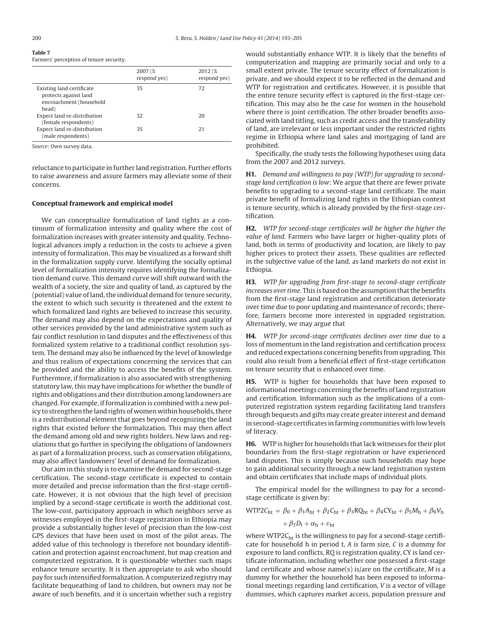<span id="page-7-0"></span>**Table 7** Farmers' perception of tenure security.

|                                                                                        | 2007 (%<br>respond yes) | 2012 (%<br>respond yes) |
|----------------------------------------------------------------------------------------|-------------------------|-------------------------|
| Existing land certificate<br>protects against land<br>encroachment (household<br>head) | 35                      | 72                      |
| Expect land re-distribution<br>(female respondents)                                    | 32                      | 20                      |
| Expect land re-distribution<br>(male respondents)                                      | 35                      | 21                      |
|                                                                                        |                         |                         |

Source: Own survey data.

reluctance to participate in further land registration. Further efforts to raise awareness and assure farmers may alleviate some of their concerns.

#### **Conceptual framework and empirical model**

We can conceptualize formalization of land rights as a continuum of formalization intensity and quality where the cost of formalization increases with greater intensity and quality. Technological advances imply a reduction in the costs to achieve a given intensity of formalization. This may be visualized as a forward shift in the formalization supply curve. Identifying the socially optimal level of formalization intensity requires identifying the formalization demand curve. This demand curve will shift outward with the wealth of a society, the size and quality of land, as captured by the (potential) value of land, the individual demand for tenure security, the extent to which such security is threatened and the extent to which formalized land rights are believed to increase this security. The demand may also depend on the expectations and quality of other services provided by the land administrative system such as fair conflict resolution in land disputes and the effectiveness of this formalized system relative to a traditional conflict resolution system. The demand may also be influenced by the level of knowledge and thus realism of expectations concerning the services that can be provided and the ability to access the benefits of the system. Furthermore, if formalization is also associated with strengthening statutory law, this may have implications for whether the bundle of rights and obligations and their distribution among landowners are changed. For example, if formalization is combined with a new policy to strengthen the land rights of women within households, there is a redistributional element that goes beyond recognizing the land rights that existed before the formalization. This may then affect the demand among old and new rights holders. New laws and regulations that go further in specifying the obligations of landowners as part of a formalization process, such as conservation obligations, may also affect landowners' level of demand for formalization.

Our aim in this study is to examine the demand for second-stage certification. The second-stage certificate is expected to contain more detailed and precise information than the first-stage certificate. However, it is not obvious that the high level of precision implied by a second-stage certificate is worth the additional cost. The low-cost, participatory approach in which neighbors serve as witnesses employed in the first-stage registration in Ethiopia may provide a substantially higher level of precision than the low-cost GPS devices that have been used in most of the pilot areas. The added value of this technology is therefore not boundary identification and protection against encroachment, but map creation and computerized registration. It is questionable whether such maps enhance tenure security. It is then appropriate to ask who should pay for such intensified formalization.Acomputerized registry may facilitate bequeathing of land to children, but owners may not be aware of such benefits, and it is uncertain whether such a registry

would substantially enhance WTP. It is likely that the benefits of computerization and mapping are primarily social and only to a small extent private. The tenure security effect of formalization is private, and we should expect it to be reflected in the demand and WTP for registration and certificates. However, it is possible that the entire tenure security effect is captured in the first-stage certification. This may also be the case for women in the household where there is joint certification. The other broader benefits associated with land titling, such as credit access and the transferability of land, are irrelevant or less important under the restricted rights regime in Ethiopia where land sales and mortgaging of land are prohibited.

Specifically, the study tests the following hypotheses using data from the 2007 and 2012 surveys.

**H1.** Demand and willingness to pay (WTP) for upgrading to secondstage land certification is low: We argue that there are fewer private benefits to upgrading to a second-stage land certificate. The main private benefit of formalizing land rights in the Ethiopian context is tenure security, which is already provided by the first-stage certification.

**H2.** WTP for second-stage certificates will be higher the higher the value of land. Farmers who have larger or higher-quality plots of land, both in terms of productivity and location, are likely to pay higher prices to protect their assets. These qualities are reflected in the subjective value of the land, as land markets do not exist in Ethiopia.

**H3.** WTP for upgrading from first-stage to second-stage certificate increases over time. This is based on the assumption that the benefits from the first-stage land registration and certification deteriorate over time due to poor updating and maintenance of records; therefore, farmers become more interested in upgraded registration. Alternatively, we may argue that

**H4.** WTP for second-stage certificates declines over time due to a loss of momentum in the land registration and certification process and reduced expectations concerning benefits from upgrading. This could also result from a beneficial effect of first-stage certification on tenure security that is enhanced over time.

**H5.** WTP is higher for households that have been exposed to informational meetings concerning the benefits of land registration and certification. Information such as the implications of a computerized registration system regarding facilitating land transfers through bequests and gifts may create greater interest and demand in second-stage certificates in farming communities with low levels of literacy.

**H6.** WTP is higher for households that lack witnesses for their plot boundaries from the first-stage registration or have experienced land disputes. This is simply because such households may hope to gain additional security through a new land registration system and obtain certificates that include maps of individual plots.

The empirical model for the willingness to pay for a secondstage certificate is given by:

$$
WTP2C_{ht} = \beta_0 + \beta_1 A_{ht} + \beta_2 C_{ht} + \beta_3 RQ_{ht} + \beta_4 CY_{ht} + \beta_5 M_h + \beta_6 V_h
$$

$$
+ \beta_7 D_t + \alpha_h + \varepsilon_{ht}
$$

where  $WTP2C<sub>ht</sub>$  is the willingness to pay for a second-stage certificate for household h in period t, A is farm size, C is a dummy for exposure to land conflicts, RQ is registration quality, CY is land certificate information, including whether one possessed a first-stage land certificate and whose name(s) is/are on the certificate,  $M$  is a dummy for whether the household has been exposed to informational meetings regarding land certification, V is a vector of village dummies, which captures market access, population pressure and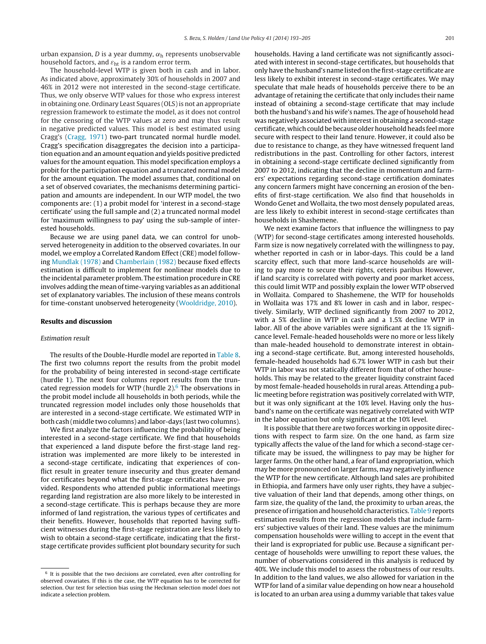urban expansion, *D* is a year dummy,  $\alpha_h$  represents unobservable household factors, and  $\varepsilon$ <sub>ht</sub> is a random error term.

The household-level WTP is given both in cash and in labor. As indicated above, approximately 30% of households in 2007 and 46% in 2012 were not interested in the second-stage certificate. Thus, we only observe WTP values for those who express interest in obtaining one. Ordinary Least Squares (OLS) is not an appropriate regression framework to estimate the model, as it does not control for the censoring of the WTP values at zero and may thus result in negative predicted values. This model is best estimated using Cragg's ([Cragg,](#page-12-0) [1971\)](#page-12-0) two-part truncated normal hurdle model. Cragg's specification disaggregates the decision into a participation equation and an amount equation and yields positive predicted values for the amount equation. This model specification employs a probit for the participation equation and a truncated normal model for the amount equation. The model assumes that, conditional on a set of observed covariates, the mechanisms determining participation and amounts are independent. In our WTP model, the two components are: (1) a probit model for 'interest in a second-stage certificate' using the full sample and (2) a truncated normal model for 'maximum willingness to pay' using the sub-sample of interested households.

Because we are using panel data, we can control for unobserved heterogeneity in addition to the observed covariates. In our model, we employ a Correlated Random Effect (CRE) model following [Mundlak](#page-12-0) [\(1978\)](#page-12-0) and [Chamberlain](#page-12-0) [\(1982\)](#page-12-0) because fixed effects estimation is difficult to implement for nonlinear models due to the incidental parameter problem. The estimation procedure in CRE involves adding the mean of time-varying variables as an additional set of explanatory variables. The inclusion of these means controls for time-constant unobserved heterogeneity ([Wooldridge,](#page-12-0) [2010\).](#page-12-0)

# **Results and discussion**

## Estimation result

The results of the Double-Hurdle model are reported in [Table](#page-9-0) 8. The first two columns report the results from the probit model for the probability of being interested in second-stage certificate (hurdle 1). The next four columns report results from the truncated regression models for WTP (hurdle  $2$ ).<sup>6</sup> The observations in the probit model include all households in both periods, while the truncated regression model includes only those households that are interested in a second-stage certificate. We estimated WTP in both cash (middle two columns) and labor-days (last two columns).

We first analyze the factors influencing the probability of being interested in a second-stage certificate. We find that households that experienced a land dispute before the first-stage land registration was implemented are more likely to be interested in a second-stage certificate, indicating that experiences of conflict result in greater tenure insecurity and thus greater demand for certificates beyond what the first-stage certificates have provided. Respondents who attended public informational meetings regarding land registration are also more likely to be interested in a second-stage certificate. This is perhaps because they are more informed of land registration, the various types of certificates and their benefits. However, households that reported having sufficient witnesses during the first-stage registration are less likely to wish to obtain a second-stage certificate, indicating that the firststage certificate provides sufficient plot boundary security for such

households. Having a land certificate was not significantly associated with interest in second-stage certificates, but households that only have the husband's name listed on the first-stage certificate are less likely to exhibit interest in second-stage certificates. We may speculate that male heads of households perceive there to be an advantage of retaining the certificate that only includes their name instead of obtaining a second-stage certificate that may include both the husband's and his wife's names. The age of household head was negatively associated with interestin obtaining a second-stage certificate, which could be because older household heads feel more secure with respect to their land tenure. However, it could also be due to resistance to change, as they have witnessed frequent land redistributions in the past. Controlling for other factors, interest in obtaining a second-stage certificate declined significantly from 2007 to 2012, indicating that the decline in momentum and farmers' expectations regarding second-stage certification dominates any concern farmers might have concerning an erosion of the benefits of first-stage certification. We also find that households in Wondo Genet and Wollaita, the two most densely populated areas, are less likely to exhibit interest in second-stage certificates than households in Shashemene.

We next examine factors that influence the willingness to pay (WTP) for second-stage certificates among interested households. Farm size is now negatively correlated with the willingness to pay, whether reported in cash or in labor-days. This could be a land scarcity effect, such that more land-scarce households are willing to pay more to secure their rights, ceteris paribus However, if land scarcity is correlated with poverty and poor market access, this could limit WTP and possibly explain the lower WTP observed in Wollaita. Compared to Shashemene, the WTP for households in Wollaita was 17% and 8% lower in cash and in labor, respectively. Similarly, WTP declined significantly from 2007 to 2012, with a 5% decline in WTP in cash and a 1.5% decline WTP in labor. All of the above variables were significant at the 1% significance level. Female-headed households were no more or less likely than male-headed household to demonstrate interest in obtaining a second-stage certificate. But, among interested households, female-headed households had 6.7% lower WTP in cash but their WTP in labor was not statically different from that of other households. This may be related to the greater liquidity constraint faced by most female-headed households in rural areas. Attending a public meeting before registration was positively correlated with WTP, but it was only significant at the 10% level. Having only the husband's name on the certificate was negatively correlated with WTP in the labor equation but only significant at the 10% level.

It is possible that there are two forces working in opposite directions with respect to farm size. On the one hand, as farm size typically affects the value of the land for which a second-stage certificate may be issued, the willingness to pay may be higher for larger farms. On the other hand, a fear of land expropriation, which may be more pronounced on larger farms, may negatively influence the WTP for the new certificate. Although land sales are prohibited in Ethiopia, and farmers have only user rights, they have a subjective valuation of their land that depends, among other things, on farm size, the quality of the land, the proximity to urban areas, the presence of irrigation and household characteristics. [Table](#page-10-0) 9 reports estimation results from the regression models that include farmers' subjective values of their land. These values are the minimum compensation households were willing to accept in the event that their land is expropriated for public use. Because a significant percentage of households were unwilling to report these values, the number of observations considered in this analysis is reduced by 40%. We include this model to assess the robustness of our results. In addition to the land values, we also allowed for variation in the WTP for land of a similar value depending on how near a household is located to an urban area using a dummy variable that takes value

 $6$  It is possible that the two decisions are correlated, even after controlling for observed covariates. If this is the case, the WTP equation has to be corrected for selection. Our test for selection bias using the Heckman selection model does not indicate a selection problem.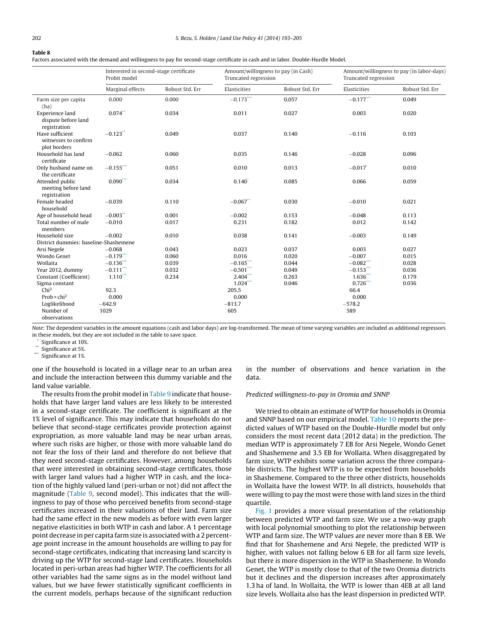<span id="page-9-0"></span>Factors associated with the demand and willingness to pay for second-stage certificate in cash and in labor. Double-Hurdle Model.

|                                                         | Interested in second-stage certificate<br>Probit model |                 | Truncated regression | Amount/willingness to pay (in Cash) | Amount/willingness to pay (in labor-days)<br>Truncated regression |                 |  |
|---------------------------------------------------------|--------------------------------------------------------|-----------------|----------------------|-------------------------------------|-------------------------------------------------------------------|-----------------|--|
|                                                         | Marginal effects                                       | Robust Std. Err | Elasticities         | Robust Std. Err                     | Elasticities                                                      | Robust Std. Err |  |
| Farm size per capita<br>(ha)                            | 0.000                                                  | 0.000           | $-0.173***$          | 0.057                               | $-0.177***$                                                       | 0.049           |  |
| Experience land<br>dispute before land<br>registration  | $0.074$ **                                             | 0.034           | 0.011                | 0.027                               | 0.003                                                             | 0.020           |  |
| Have sufficient<br>witnesses to confirm<br>plot borders | $-0.123$ **                                            | 0.049           | 0.037                | 0.140                               | $-0.116$                                                          | 0.103           |  |
| Household has land<br>certificate                       | $-0.062$                                               | 0.060           | 0.035                | 0.146                               | $-0.028$                                                          | 0.096           |  |
| Only husband name on<br>the certificate                 | $-0.155***$                                            | 0.051           | 0.010                | 0.013                               | $-0.017$                                                          | 0.010           |  |
| Attended public<br>meeting before land<br>registration  | $0.090***$                                             | 0.034           | $0.140^{*}$          | 0.085                               | 0.066                                                             | 0.059           |  |
| Female headed<br>household                              | $-0.039$                                               | 0.110           | $-0.067$             | 0.030                               | $-0.010$                                                          | 0.021           |  |
| Age of household head                                   | $-0.003$ <sup>**</sup>                                 | 0.001           | $-0.002$             | 0.153                               | $-0.048$                                                          | 0.113           |  |
| Total number of male<br>members                         | $-0.010$                                               | 0.017           | 0.231                | 0.182                               | 0.012                                                             | 0.142           |  |
| Household size                                          | $-0.002$                                               | 0.010           | 0.038                | 0.141                               | $-0.003$                                                          | 0.149           |  |
| District dummies: baseline-Shashemene                   |                                                        |                 |                      |                                     |                                                                   |                 |  |
| Arsi Negele                                             | $-0.068$                                               | 0.043           | 0.023                | 0.037                               | 0.003                                                             | 0.027           |  |
| <b>Wondo Genet</b>                                      | $-0.179$ ***                                           | 0.060           | 0.016                | 0.020                               | $-0.007$                                                          | 0.015           |  |
| Wollaita                                                | $-0.136$ ***                                           | 0.039           | $-0.165***$          | 0.044                               | $-0.082***$                                                       | 0.028           |  |
| Year 2012, dummy                                        | $-0.111***$                                            | 0.032           | $-0.501***$          | 0.049                               | $-0.153***$                                                       | 0.036           |  |
| Constant (Coefficient)                                  | $1.110***$                                             | 0.234           | $2.404$ ***          | 0.263                               | $1.636***$                                                        | 0.179           |  |
| Sigma constant                                          |                                                        |                 | $1.024***$           | 0.046                               | $0.726***$                                                        | 0.036           |  |
| Chi <sup>2</sup>                                        | 92.3                                                   |                 | 205.5                |                                     | 66.4                                                              |                 |  |
| Prob > <i>chi</i> <sup>2</sup>                          | 0.000                                                  |                 | 0.000                |                                     | 0.000                                                             |                 |  |
| Loglikelihood                                           | $-642.9$                                               |                 | $-813.7$             |                                     | $-578.2$                                                          |                 |  |
| Number of<br>observations                               | 1029                                                   |                 | 605                  |                                     | 589                                                               |                 |  |

Note: The dependent variables in the amount equations (cash and labor days) are log-transformed. The mean of time varying variables are included as additional regressors in these models, but they are not included in the table to save space.

 $\frac{1}{2}$  Significance at 10%.

Significance at 5%.

\*\*\* Significance at 1%.

one if the household is located in a village near to an urban area and include the interaction between this dummy variable and the land value variable.

The results from the probit model in [Table](#page-10-0) 9 indicate that households that have larger land values are less likely to be interested in a second-stage certificate. The coefficient is significant at the 1% level of significance. This may indicate that households do not believe that second-stage certificates provide protection against expropriation, as more valuable land may be near urban areas, where such risks are higher, or those with more valuable land do not fear the loss of their land and therefore do not believe that they need second-stage certificates. However, among households that were interested in obtaining second-stage certificates, those with larger land values had a higher WTP in cash, and the location of the highly valued land (peri-urban or not) did not affect the magnitude [\(Table](#page-10-0) 9, second model). This indicates that the willingness to pay of those who perceived benefits from second-stage certificates increased in their valuations of their land. Farm size had the same effect in the new models as before with even larger negative elasticities in both WTP in cash and labor. A 1 percentage point decrease in per capita farm size is associated with a 2 percentage point increase in the amount households are willing to pay for second-stage certificates, indicating that increasing land scarcity is driving up the WTP for second-stage land certificates. Households located in peri-urban areas had higher WTP. The coefficients for all other variables had the same signs as in the model without land values, but we have fewer statistically significant coefficients in the current models, perhaps because of the significant reduction in the number of observations and hence variation in the data.

#### Predicted willingness-to-pay in Oromia and SNNP

We tried to obtain an estimate of WTP for households in Oromia and SNNP based on our empirical model. [Table](#page-11-0) 10 reports the predicted values of WTP based on the Double-Hurdle model but only considers the most recent data (2012 data) in the prediction. The median WTP is approximately 7 EB for Arsi Negele, Wondo Genet and Shashemene and 3.5 EB for Wollaita. When disaggregated by farm size, WTP exhibits some variation across the three comparable districts. The highest WTP is to be expected from households in Shashemene. Compared to the three other districts, households in Wollaita have the lowest WTP. In all districts, households that were willing to pay the most were those with land sizes in the third quartile.

[Fig.](#page-10-0) 1 provides a more visual presentation of the relationship between predicted WTP and farm size. We use a two-way graph with local polynomial smoothing to plot the relationship between WTP and farm size. The WTP values are never more than 8 EB. We find that for Shashemene and Arsi Negele, the predicted WTP is higher, with values not falling below 6 EB for all farm size levels, but there is more dispersion in the WTP in Shashemene. In Wondo Genet, the WTP is mostly close to that of the two Oromia districts but it declines and the dispersion increases after approximately 1.3 ha of land. In Wollaita, the WTP is lower than 4EB at all land size levels. Wollaita also has the least dispersion in predicted WTP.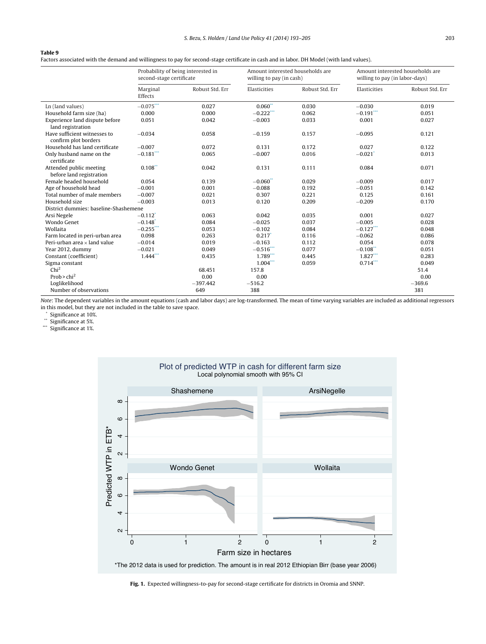<span id="page-10-0"></span>Factors associated with the demand and willingness to pay for second-stage certificate in cash and in labor. DH Model (with land values).

|                                                      | Probability of being interested in<br>second-stage certificate |                 | willing to pay (in cash) | Amount interested households are | Amount interested households are<br>willing to pay (in labor-days) |                 |  |
|------------------------------------------------------|----------------------------------------------------------------|-----------------|--------------------------|----------------------------------|--------------------------------------------------------------------|-----------------|--|
|                                                      | Marginal<br>Effects                                            | Robust Std. Err | Elasticities             | Robust Std. Err                  | Elasticities                                                       | Robust Std. Err |  |
| Ln (land values)                                     | $-0.075***$                                                    | 0.027           | $0.060\overset{\ast}{ }$ | 0.030                            | $-0.030$                                                           | 0.019           |  |
| Household farm size (ha)                             | 0.000                                                          | 0.000           | $-0.222$ ***             | 0.062                            | $-0.191$ ***                                                       | 0.051           |  |
| Experience land dispute before<br>land registration  | 0.042<br>0.051                                                 |                 | $-0.003$                 | 0.033                            | 0.001                                                              | 0.027           |  |
| Have sufficient witnesses to<br>confirm plot borders | $-0.034$                                                       | 0.058           | $-0.159$                 | 0.157                            | $-0.095$                                                           | 0.121           |  |
| Household has land certificate                       | $-0.007$                                                       | 0.072           | 0.131                    | 0.172                            | 0.027                                                              | 0.122           |  |
| Only husband name on the<br>certificate              | $-0.181$                                                       | 0.065           | $-0.007$                 | 0.016                            | $-0.021$                                                           | 0.013           |  |
| Attended public meeting<br>before land registration  | $0.108$ **                                                     | 0.042           | 0.131                    | 0.111                            | 0.084                                                              | 0.071           |  |
| Female headed household                              | 0.054                                                          | 0.139           | $-0.060$ <sup>**</sup>   | 0.029                            | $-0.009$                                                           | 0.017           |  |
| Age of household head                                | $-0.001$                                                       | 0.001           | $-0.088$                 | 0.192                            | $-0.051$                                                           | 0.142           |  |
| Total number of male members                         | $-0.007$                                                       | 0.021           | 0.307                    | 0.221                            | 0.125                                                              | 0.161           |  |
| Household size                                       | $-0.003$                                                       | 0.013           | 0.120                    | 0.209                            | $-0.209$                                                           | 0.170           |  |
| District dummies: baseline-Shashemene                |                                                                |                 |                          |                                  |                                                                    |                 |  |
| Arsi Negele                                          | $-0.112$                                                       | 0.063           | 0.042                    | 0.035                            | 0.001                                                              | 0.027           |  |
| Wondo Genet                                          | $-0.148$                                                       | 0.084           | $-0.025$                 | 0.037                            | $-0.005$                                                           | 0.028           |  |
| Wollaita                                             | $-0.255***$                                                    | 0.053           | $-0.102$                 | 0.084                            | $-0.127$ ***                                                       | 0.048           |  |
| Farm located in peri-urban area                      | 0.098                                                          | 0.263           | 0.217                    | 0.116                            | $-0.062$                                                           | 0.086           |  |
| Peri-urban area $\times$ land value                  | $-0.014$                                                       | 0.019           | $-0.163$                 | 0.112                            | 0.054                                                              | 0.078           |  |
| Year 2012, dummy                                     | $-0.021$                                                       | 0.049           | $-0.516***$              | 0.077                            | $-0.108$ **                                                        | 0.051           |  |
| Constant (coefficient)                               | 1.444                                                          | 0.435           | 1.789***                 | 0.445                            | 1.827                                                              | 0.283           |  |
| Sigma constant                                       |                                                                |                 | $1.004***$               | 0.059                            | $0.714***$                                                         | 0.049           |  |
| Chi <sup>2</sup>                                     |                                                                | 68.451          | 157.8                    |                                  |                                                                    | 51.4            |  |
| Prob > chi <sup>2</sup>                              |                                                                | 0.00            | 0.00                     |                                  |                                                                    | 0.00            |  |
| Loglikelihood                                        |                                                                | $-397.442$      | $-516.2$                 |                                  |                                                                    | $-369.6$        |  |
| Number of observations                               |                                                                | 649             | 388                      |                                  |                                                                    | 381             |  |

Note: The dependent variables in the amount equations (cash and labor days) are log-transformed. The mean of time varying variables are included as additional regressors in this model, but they are not included in the table to save space.

 $*$  Significance at 10%.

Significance at 5%.

\*\*\* Significance at 1%.



**Fig. 1.** Expected willingness-to-pay for second-stage certificate for districts in Oromia and SNNP.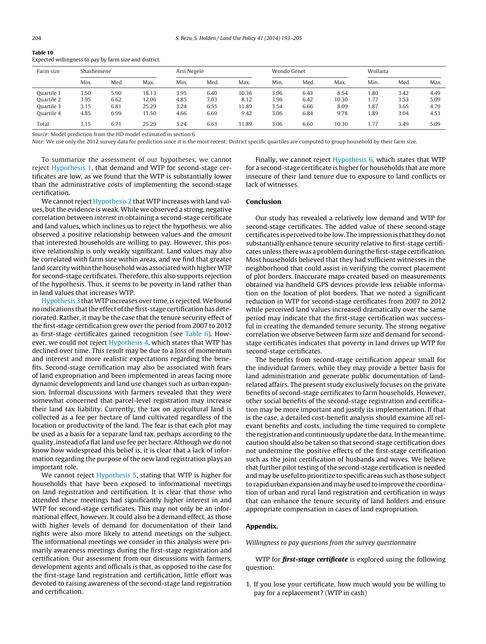<span id="page-11-0"></span>

| Table 10                                               |  |
|--------------------------------------------------------|--|
| Expected willingness to pay by farm size and district. |  |

| Farm size  |      | Shashemene |       |      | Arsi Negele |       |      | Wondo Genet |       |      | Wollaita |      |  |
|------------|------|------------|-------|------|-------------|-------|------|-------------|-------|------|----------|------|--|
|            | Min. | Med.       | Max.  | Min. | Med.        | Max.  | Min. | Med.        | Max.  | Min. | Med.     | Max. |  |
| Ouartile 1 | 3.50 | 5.90       | 18.13 | 3.95 | 6.40        | 10.36 | 3.96 | 6.43        | 8.54  | 1.80 | 3.42     | 4.49 |  |
| Quartile 2 | 3.95 | 6.62       | 12.06 | 4.85 | 7.03        | 8.12  | 3.96 | 6.42        | 10.30 | 1.77 | 3.53     | 5.09 |  |
| Ouartile 3 | 3.15 | 6.81       | 25.29 | 3.24 | 6.55        | 11.89 | 3.54 | 6.66        | 8.09  | 1.87 | 3.65     | 4.79 |  |
| Ouartile 4 | 4.85 | 6.99       | 11.50 | 4.66 | 6.69        | 9.42  | 3.06 | 6.84        | 9.78  | 1.89 | 3.04     | 4.53 |  |
| Total      | 3.15 | 6.71       | 25.29 | 3.24 | 6.63        | 11.89 | 3.06 | 6.60        | 10.30 | 1.77 | 3.49     | 5.09 |  |

Source: Model prediction from the HD model estimated in section 6

Note: We use only the 2012 survey data for prediction since it is the most recent; District specific quartiles are computed to group household by their farm size.

To summarize the assessment of our hypotheses, we cannot reject [Hypothesis](#page-7-0) [1,](#page-7-0) that demand and WTP for second-stage certificates are low, as we found that the WTP is substantially lower than the administrative costs of implementing the second-stage certification.

Finally, we cannot reject [Hypothesis](#page-7-0) [6,](#page-7-0) which states that WTP for a second-stage certificate is higher for households that are more insecure of their land tenure due to exposure to land conflicts or lack of witnesses.

We cannot reject [Hypothesis](#page-7-0) [2](#page-7-0) that WTP increases with land values, but the evidence is weak. While we observed a strong, negative correlation between interest in obtaining a second-stage certificate and land values, which inclines us to reject the hypothesis, we also observed a positive relationship between values and the amount that interested households are willing to pay. However, this positive relationship is only weakly significant. Land values may also be correlated with farm size within areas, and we find that greater land scarcity within the household was associated with higher WTP for second-stage certificates. Therefore, this also supports rejection of the hypothesis. Thus, it seems to be poverty in land rather than in land values that increases WTP.

[Hypothesis](#page-7-0) [3](#page-7-0) that WTP increases over time, is rejected. We found no indications that the effect of the first-stage certification has deteriorated. Rather, it may be the case that the tenure security effect of the first-stage certification grew over the period from 2007 to 2012 as first-stage certificates gained recognition (see [Table](#page-6-0) 6). However, we could not reject [Hypothesis](#page-7-0) [4,](#page-7-0) which states that WTP has declined over time. This result may be due to a loss of momentum and interest and more realistic expectations regarding the benefits. Second-stage certification may also be associated with fears of land expropriation and been implemented in areas facing more dynamic developments and land use changes such as urban expansion. Informal discussions with farmers revealed that they were somewhat concerned that parcel-level registration may increase their land tax liability. Currently, the tax on agricultural land is collected as a fee per hectare of land cultivated regardless of the location or productivity of the land. The fear is that each plot may be used as a basis for a separate land tax, perhaps according to the quality, instead of a flatland use fee per hectare.Although we do not know how widespread this belief is, it is clear that a lack of information regarding the purpose of the new land registration plays an important role.

We cannot reject [Hypothesis](#page-7-0) [5,](#page-7-0) stating that WTP is higher for households that have been exposed to informational meetings on land registration and certification. It is clear that those who attended these meetings had significantly higher interest in and WTP for second-stage certificates. This may not only be an informational effect, however. It could also be a demand effect, as those with higher levels of demand for documentation of their land rights were also more likely to attend meetings on the subject. The informational meetings we consider in this analysis were primarily awareness meetings during the first-stage registration and certification. Our assessment from our discussions with farmers, development agents and officials is that, as opposed to the case for the first-stage land registration and certification, little effort was devoted to raising awareness of the second-stage land registration and certification.

#### **Conclusion**

Our study has revealed a relatively low demand and WTP for second-stage certificates. The added value of these second-stage certificates is perceived to be low. The impression is that they do not substantially enhance tenure security relative to first-stage certificates unless there was a problem during the first-stage certification. Most households believed that they had sufficient witnesses in the neighborhood that could assist in verifying the correct placement of plot borders. Inaccurate maps created based on measurements obtained via handheld GPS devices provide less reliable information on the location of plot borders. That we noted a significant reduction in WTP for second-stage certificates from 2007 to 2012 while perceived land values increased dramatically over the same period may indicate that the first-stage certification was successful in creating the demanded tenure security. The strong negative correlation we observe between farm size and demand for secondstage certificates indicates that poverty in land drives up WTP for second-stage certificates.

The benefits from second-stage certification appear small for the individual farmers, while they may provide a better basis for land administration and generate public documentation of landrelated affairs. The present study exclusively focuses on the private benefits of second-stage certificates to farm households. However, other social benefits of the second-stage registration and certification may be more important and justify its implementation. If that is the case, a detailed cost-benefit analysis should examine all relevant benefits and costs, including the time required to complete the registration and continuously update the data. In the mean time, caution should also be taken so that second-stage certification does not undermine the positive effects of the first-stage certification such as the joint certification of husbands and wives. We believe that further pilot testing of the second-stage certification is needed and may be useful to prioritize to specific areas such as those subject to rapid urban expansion and may be used to improve the coordination of urban and rural land registration and certification in ways that can enhance the tenure security of land holders and ensure appropriate compensation in cases of land expropriation.

#### **Appendix.**

Willingness to pay questions from the survey questionnaire

WTP for **first-stage certificate** is explored using the following question:

1. If you lose your certificate, how much would you be willing to pay for a replacement? (WTP in cash)